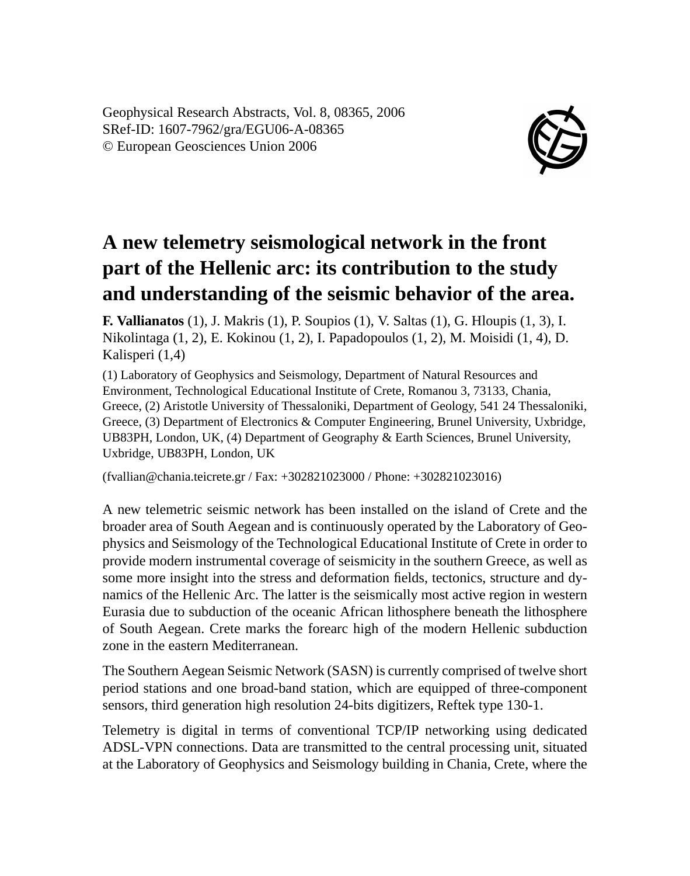Geophysical Research Abstracts, Vol. 8, 08365, 2006 SRef-ID: 1607-7962/gra/EGU06-A-08365 © European Geosciences Union 2006



## **A new telemetry seismological network in the front part of the Hellenic arc: its contribution to the study and understanding of the seismic behavior of the area.**

**F. Vallianatos** (1), J. Makris (1), P. Soupios (1), V. Saltas (1), G. Hloupis (1, 3), I. Nikolintaga (1, 2), E. Kokinou (1, 2), I. Papadopoulos (1, 2), M. Moisidi (1, 4), D. Kalisperi (1,4)

(1) Laboratory of Geophysics and Seismology, Department of Natural Resources and Environment, Technological Educational Institute of Crete, Romanou 3, 73133, Chania, Greece, (2) Aristotle University of Thessaloniki, Department of Geology, 541 24 Thessaloniki, Greece, (3) Department of Electronics & Computer Engineering, Brunel University, Uxbridge, UB83PH, London, UK, (4) Department of Geography & Earth Sciences, Brunel University, Uxbridge, UB83PH, London, UK

(fvallian@chania.teicrete.gr / Fax: +302821023000 / Phone: +302821023016)

A new telemetric seismic network has been installed on the island of Crete and the broader area of South Aegean and is continuously operated by the Laboratory of Geophysics and Seismology of the Technological Educational Institute of Crete in order to provide modern instrumental coverage of seismicity in the southern Greece, as well as some more insight into the stress and deformation fields, tectonics, structure and dynamics of the Hellenic Arc. The latter is the seismically most active region in western Eurasia due to subduction of the oceanic African lithosphere beneath the lithosphere of South Aegean. Crete marks the forearc high of the modern Hellenic subduction zone in the eastern Mediterranean.

The Southern Aegean Seismic Network (SASN) is currently comprised of twelve short period stations and one broad-band station, which are equipped of three-component sensors, third generation high resolution 24-bits digitizers, Reftek type 130-1.

Telemetry is digital in terms of conventional TCP/IP networking using dedicated ADSL-VPN connections. Data are transmitted to the central processing unit, situated at the Laboratory of Geophysics and Seismology building in Chania, Crete, where the